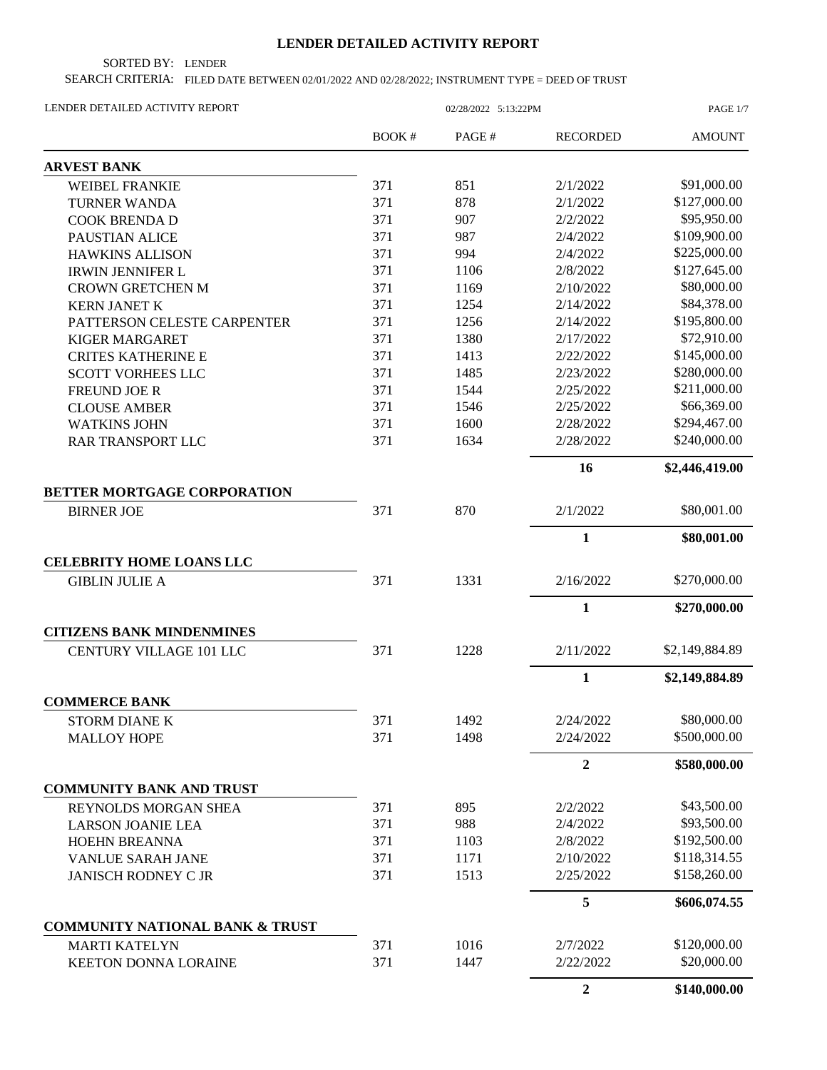## **LENDER DETAILED ACTIVITY REPORT**

SORTED BY: LENDER

SEARCH CRITERIA: FILED DATE BETWEEN 02/01/2022 AND 02/28/2022; INSTRUMENT TYPE = DEED OF TRUST

| LENDER DETAILED ACTIVITY REPORT            | 02/28/2022 5:13:22PM |       |                  | PAGE 1/7       |
|--------------------------------------------|----------------------|-------|------------------|----------------|
|                                            | BOOK#                | PAGE# | <b>RECORDED</b>  | <b>AMOUNT</b>  |
| <b>ARVEST BANK</b>                         |                      |       |                  |                |
| <b>WEIBEL FRANKIE</b>                      | 371                  | 851   | 2/1/2022         | \$91,000.00    |
| <b>TURNER WANDA</b>                        | 371                  | 878   | 2/1/2022         | \$127,000.00   |
| <b>COOK BRENDA D</b>                       | 371                  | 907   | 2/2/2022         | \$95,950.00    |
| PAUSTIAN ALICE                             | 371                  | 987   | 2/4/2022         | \$109,900.00   |
| <b>HAWKINS ALLISON</b>                     | 371                  | 994   | 2/4/2022         | \$225,000.00   |
| <b>IRWIN JENNIFER L</b>                    | 371                  | 1106  | 2/8/2022         | \$127,645.00   |
| <b>CROWN GRETCHEN M</b>                    | 371                  | 1169  | 2/10/2022        | \$80,000.00    |
| <b>KERN JANET K</b>                        | 371                  | 1254  | 2/14/2022        | \$84,378.00    |
| PATTERSON CELESTE CARPENTER                | 371                  | 1256  | 2/14/2022        | \$195,800.00   |
| <b>KIGER MARGARET</b>                      | 371                  | 1380  | 2/17/2022        | \$72,910.00    |
| <b>CRITES KATHERINE E</b>                  | 371                  | 1413  | 2/22/2022        | \$145,000.00   |
| <b>SCOTT VORHEES LLC</b>                   | 371                  | 1485  | 2/23/2022        | \$280,000.00   |
| <b>FREUND JOE R</b>                        | 371                  | 1544  | 2/25/2022        | \$211,000.00   |
| <b>CLOUSE AMBER</b>                        | 371                  | 1546  | 2/25/2022        | \$66,369.00    |
| <b>WATKINS JOHN</b>                        | 371                  | 1600  | 2/28/2022        | \$294,467.00   |
| <b>RAR TRANSPORT LLC</b>                   | 371                  | 1634  | 2/28/2022        | \$240,000.00   |
|                                            |                      |       | 16               | \$2,446,419.00 |
| <b>BETTER MORTGAGE CORPORATION</b>         |                      |       |                  |                |
| <b>BIRNER JOE</b>                          | 371                  | 870   | 2/1/2022         | \$80,001.00    |
|                                            |                      |       | $\mathbf{1}$     | \$80,001.00    |
| <b>CELEBRITY HOME LOANS LLC</b>            |                      |       |                  |                |
| <b>GIBLIN JULIE A</b>                      | 371                  | 1331  | 2/16/2022        | \$270,000.00   |
|                                            |                      |       | 1                | \$270,000.00   |
| <b>CITIZENS BANK MINDENMINES</b>           |                      |       |                  |                |
| <b>CENTURY VILLAGE 101 LLC</b>             | 371                  | 1228  | 2/11/2022        | \$2,149,884.89 |
|                                            |                      |       | $\mathbf{1}$     | \$2,149,884.89 |
| <b>COMMERCE BANK</b>                       |                      |       |                  |                |
| <b>STORM DIANE K</b>                       | 371                  | 1492  | 2/24/2022        | \$80,000.00    |
| <b>MALLOY HOPE</b>                         | 371                  | 1498  | 2/24/2022        | \$500,000.00   |
|                                            |                      |       | $\mathbf{2}$     | \$580,000.00   |
| <b>COMMUNITY BANK AND TRUST</b>            |                      |       |                  |                |
| REYNOLDS MORGAN SHEA                       | 371                  | 895   | 2/2/2022         | \$43,500.00    |
| <b>LARSON JOANIE LEA</b>                   | 371                  | 988   | 2/4/2022         | \$93,500.00    |
| HOEHN BREANNA                              | 371                  | 1103  | 2/8/2022         | \$192,500.00   |
| VANLUE SARAH JANE                          | 371                  | 1171  | 2/10/2022        | \$118,314.55   |
| <b>JANISCH RODNEY C JR</b>                 | 371                  | 1513  | 2/25/2022        | \$158,260.00   |
|                                            |                      |       | 5                | \$606,074.55   |
| <b>COMMUNITY NATIONAL BANK &amp; TRUST</b> |                      |       |                  |                |
| <b>MARTI KATELYN</b>                       | 371                  | 1016  | 2/7/2022         | \$120,000.00   |
| <b>KEETON DONNA LORAINE</b>                | 371                  | 1447  | 2/22/2022        | \$20,000.00    |
|                                            |                      |       | $\boldsymbol{2}$ | \$140,000.00   |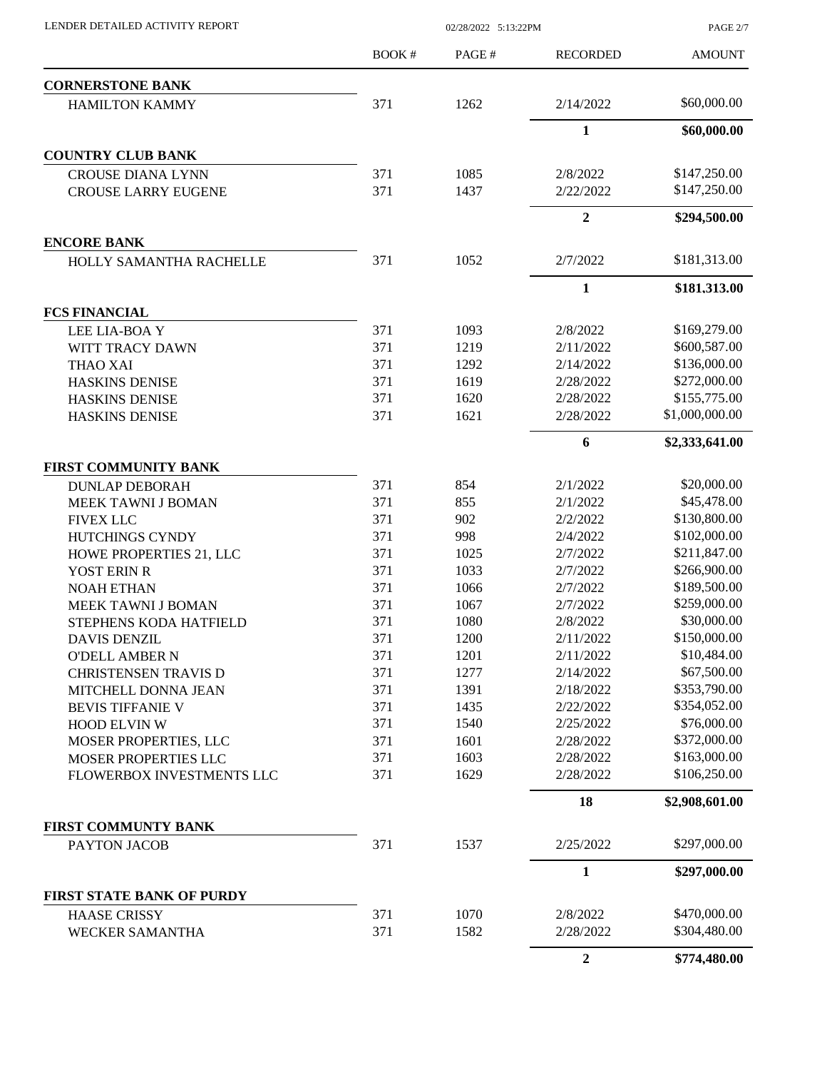|                                  | BOOK# | PAGE# | <b>RECORDED</b> | <b>AMOUNT</b>  |
|----------------------------------|-------|-------|-----------------|----------------|
| <b>CORNERSTONE BANK</b>          |       |       |                 |                |
| <b>HAMILTON KAMMY</b>            | 371   | 1262  | 2/14/2022       | \$60,000.00    |
|                                  |       |       | $\mathbf{1}$    | \$60,000.00    |
| <b>COUNTRY CLUB BANK</b>         |       |       |                 |                |
| <b>CROUSE DIANA LYNN</b>         | 371   | 1085  | 2/8/2022        | \$147,250.00   |
| <b>CROUSE LARRY EUGENE</b>       | 371   | 1437  | 2/22/2022       | \$147,250.00   |
|                                  |       |       | $\overline{2}$  | \$294,500.00   |
| <b>ENCORE BANK</b>               |       |       |                 |                |
| HOLLY SAMANTHA RACHELLE          | 371   | 1052  | 2/7/2022        | \$181,313.00   |
|                                  |       |       | $\mathbf{1}$    | \$181,313.00   |
| <b>FCS FINANCIAL</b>             |       |       |                 |                |
| LEE LIA-BOAY                     | 371   | 1093  | 2/8/2022        | \$169,279.00   |
| WITT TRACY DAWN                  | 371   | 1219  | 2/11/2022       | \$600,587.00   |
| THAO XAI                         | 371   | 1292  | 2/14/2022       | \$136,000.00   |
| <b>HASKINS DENISE</b>            | 371   | 1619  | 2/28/2022       | \$272,000.00   |
| HASKINS DENISE                   | 371   | 1620  | 2/28/2022       | \$155,775.00   |
| <b>HASKINS DENISE</b>            | 371   | 1621  | 2/28/2022       | \$1,000,000.00 |
|                                  |       |       | 6               | \$2,333,641.00 |
| FIRST COMMUNITY BANK             |       |       |                 |                |
| <b>DUNLAP DEBORAH</b>            | 371   | 854   | 2/1/2022        | \$20,000.00    |
| MEEK TAWNI J BOMAN               | 371   | 855   | 2/1/2022        | \$45,478.00    |
| <b>FIVEX LLC</b>                 | 371   | 902   | 2/2/2022        | \$130,800.00   |
| HUTCHINGS CYNDY                  | 371   | 998   | 2/4/2022        | \$102,000.00   |
| HOWE PROPERTIES 21, LLC          | 371   | 1025  | 2/7/2022        | \$211,847.00   |
| YOST ERIN R                      | 371   | 1033  | 2/7/2022        | \$266,900.00   |
| <b>NOAH ETHAN</b>                | 371   | 1066  | 2/7/2022        | \$189,500.00   |
| MEEK TAWNI J BOMAN               | 371   | 1067  | 2/7/2022        | \$259,000.00   |
| STEPHENS KODA HATFIELD           | 371   | 1080  | 2/8/2022        | \$30,000.00    |
| <b>DAVIS DENZIL</b>              | 371   | 1200  | 2/11/2022       | \$150,000.00   |
| <b>O'DELL AMBER N</b>            | 371   | 1201  | 2/11/2022       | \$10,484.00    |
| <b>CHRISTENSEN TRAVIS D</b>      | 371   | 1277  | 2/14/2022       | \$67,500.00    |
| MITCHELL DONNA JEAN              | 371   | 1391  | 2/18/2022       | \$353,790.00   |
| <b>BEVIS TIFFANIE V</b>          | 371   | 1435  | 2/22/2022       | \$354,052.00   |
| <b>HOOD ELVIN W</b>              | 371   | 1540  | 2/25/2022       | \$76,000.00    |
| MOSER PROPERTIES, LLC            | 371   | 1601  | 2/28/2022       | \$372,000.00   |
| MOSER PROPERTIES LLC             | 371   | 1603  | 2/28/2022       | \$163,000.00   |
| FLOWERBOX INVESTMENTS LLC        | 371   | 1629  | 2/28/2022       | \$106,250.00   |
|                                  |       |       | 18              | \$2,908,601.00 |
| FIRST COMMUNTY BANK              |       |       |                 |                |
| PAYTON JACOB                     | 371   | 1537  | 2/25/2022       | \$297,000.00   |
|                                  |       |       | $\mathbf{1}$    | \$297,000.00   |
| <b>FIRST STATE BANK OF PURDY</b> |       |       |                 |                |
| <b>HAASE CRISSY</b>              | 371   | 1070  | 2/8/2022        | \$470,000.00   |
| <b>WECKER SAMANTHA</b>           | 371   | 1582  | 2/28/2022       | \$304,480.00   |

LENDER DETAILED ACTIVITY REPORT 02/28/2022 5:13:22PM

**2 \$774,480.00**

PAGE 2/7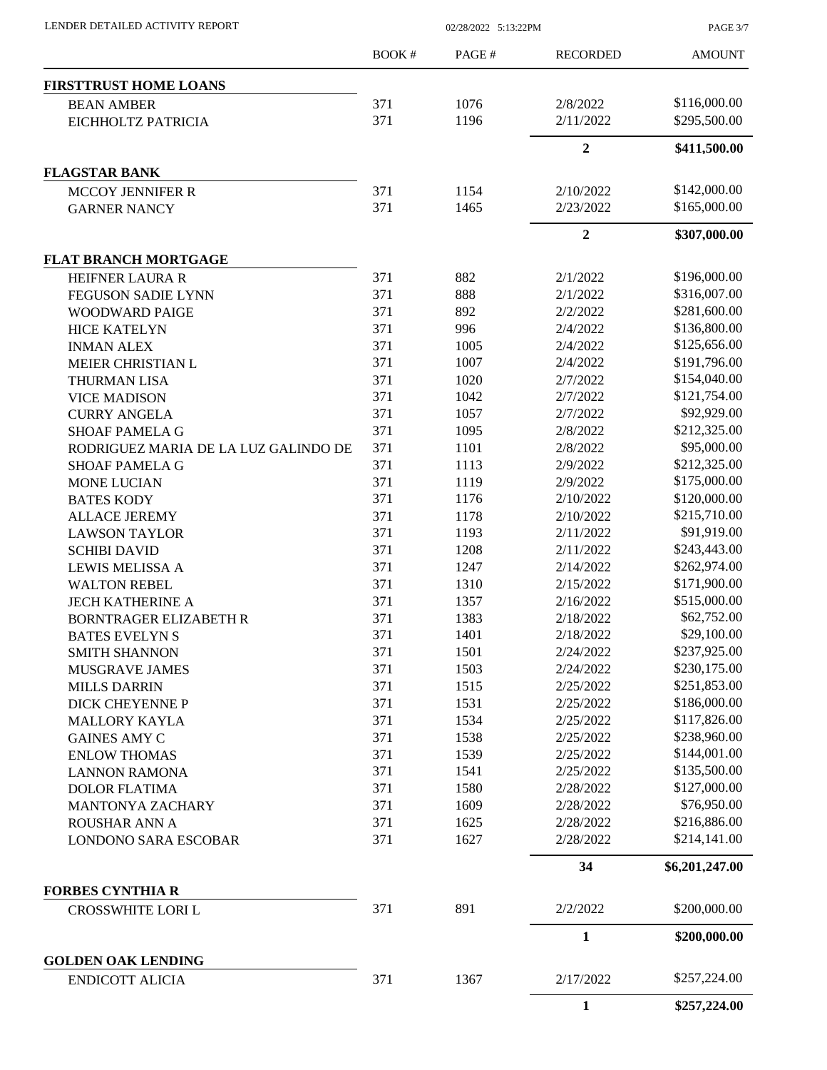| LENDER DETAILED ACTIVITY REPORT |  |
|---------------------------------|--|
|                                 |  |

02/28/2022 5:13:22PM

PAGE 3/7

|                                                     | <b>BOOK#</b> | PAGE# | <b>RECORDED</b>  | <b>AMOUNT</b>  |
|-----------------------------------------------------|--------------|-------|------------------|----------------|
| <b>FIRSTTRUST HOME LOANS</b>                        |              |       |                  |                |
| <b>BEAN AMBER</b>                                   | 371          | 1076  | 2/8/2022         | \$116,000.00   |
| EICHHOLTZ PATRICIA                                  | 371          | 1196  | 2/11/2022        | \$295,500.00   |
|                                                     |              |       | $\boldsymbol{2}$ | \$411,500.00   |
| <b>FLAGSTAR BANK</b>                                |              |       |                  |                |
| <b>MCCOY JENNIFER R</b>                             | 371          | 1154  | 2/10/2022        | \$142,000.00   |
| <b>GARNER NANCY</b>                                 | 371          | 1465  | 2/23/2022        | \$165,000.00   |
|                                                     |              |       | $\overline{2}$   | \$307,000.00   |
| <b>FLAT BRANCH MORTGAGE</b>                         |              |       |                  |                |
| <b>HEIFNER LAURA R</b>                              | 371          | 882   | 2/1/2022         | \$196,000.00   |
| <b>FEGUSON SADIE LYNN</b>                           | 371          | 888   | 2/1/2022         | \$316,007.00   |
| WOODWARD PAIGE                                      | 371          | 892   | 2/2/2022         | \$281,600.00   |
| <b>HICE KATELYN</b>                                 | 371          | 996   | 2/4/2022         | \$136,800.00   |
| <b>INMAN ALEX</b>                                   | 371          | 1005  | 2/4/2022         | \$125,656.00   |
| MEIER CHRISTIAN L                                   | 371          | 1007  | 2/4/2022         | \$191,796.00   |
| <b>THURMAN LISA</b>                                 | 371          | 1020  | 2/7/2022         | \$154,040.00   |
| <b>VICE MADISON</b>                                 | 371          | 1042  | 2/7/2022         | \$121,754.00   |
| <b>CURRY ANGELA</b>                                 | 371          | 1057  | 2/7/2022         | \$92,929.00    |
|                                                     | 371          | 1095  |                  | \$212,325.00   |
| <b>SHOAF PAMELA G</b>                               |              |       | 2/8/2022         |                |
| RODRIGUEZ MARIA DE LA LUZ GALINDO DE                | 371          | 1101  | 2/8/2022         | \$95,000.00    |
| <b>SHOAF PAMELA G</b>                               | 371          | 1113  | 2/9/2022         | \$212,325.00   |
| <b>MONE LUCIAN</b>                                  | 371          | 1119  | 2/9/2022         | \$175,000.00   |
| <b>BATES KODY</b>                                   | 371          | 1176  | 2/10/2022        | \$120,000.00   |
| <b>ALLACE JEREMY</b>                                | 371          | 1178  | 2/10/2022        | \$215,710.00   |
| <b>LAWSON TAYLOR</b>                                | 371          | 1193  | 2/11/2022        | \$91,919.00    |
| <b>SCHIBI DAVID</b>                                 | 371          | 1208  | 2/11/2022        | \$243,443.00   |
| <b>LEWIS MELISSA A</b>                              | 371          | 1247  | 2/14/2022        | \$262,974.00   |
| <b>WALTON REBEL</b>                                 | 371          | 1310  | 2/15/2022        | \$171,900.00   |
| <b>JECH KATHERINE A</b>                             | 371          | 1357  | 2/16/2022        | \$515,000.00   |
| <b>BORNTRAGER ELIZABETH R</b>                       | 371          | 1383  | 2/18/2022        | \$62,752.00    |
| <b>BATES EVELYNS</b>                                | 371          | 1401  | 2/18/2022        | \$29,100.00    |
| <b>SMITH SHANNON</b>                                | 371          | 1501  | 2/24/2022        | \$237,925.00   |
| MUSGRAVE JAMES                                      | 371          | 1503  | 2/24/2022        | \$230,175.00   |
| <b>MILLS DARRIN</b>                                 | 371          | 1515  | 2/25/2022        | \$251,853.00   |
| <b>DICK CHEYENNE P</b>                              | 371          | 1531  | 2/25/2022        | \$186,000.00   |
| <b>MALLORY KAYLA</b>                                | 371          | 1534  | 2/25/2022        | \$117,826.00   |
| <b>GAINES AMY C</b>                                 | 371          | 1538  | 2/25/2022        | \$238,960.00   |
| <b>ENLOW THOMAS</b>                                 | 371          | 1539  | 2/25/2022        | \$144,001.00   |
| <b>LANNON RAMONA</b>                                | 371          | 1541  | 2/25/2022        | \$135,500.00   |
|                                                     | 371          | 1580  | 2/28/2022        | \$127,000.00   |
| <b>DOLOR FLATIMA</b>                                |              |       |                  | \$76,950.00    |
| <b>MANTONYA ZACHARY</b>                             | 371          | 1609  | 2/28/2022        | \$216,886.00   |
| ROUSHAR ANN A                                       | 371          | 1625  | 2/28/2022        |                |
| <b>LONDONO SARA ESCOBAR</b>                         | 371          | 1627  | 2/28/2022        | \$214,141.00   |
|                                                     |              |       | 34               | \$6,201,247.00 |
| <b>FORBES CYNTHIA R</b>                             |              |       |                  | \$200,000.00   |
| CROSSWHITE LORI L                                   | 371          | 891   | 2/2/2022         |                |
|                                                     |              |       | $\mathbf{1}$     | \$200,000.00   |
| <b>GOLDEN OAK LENDING</b><br><b>ENDICOTT ALICIA</b> | 371          | 1367  | 2/17/2022        | \$257,224.00   |
|                                                     |              |       | 1                | \$257,224.00   |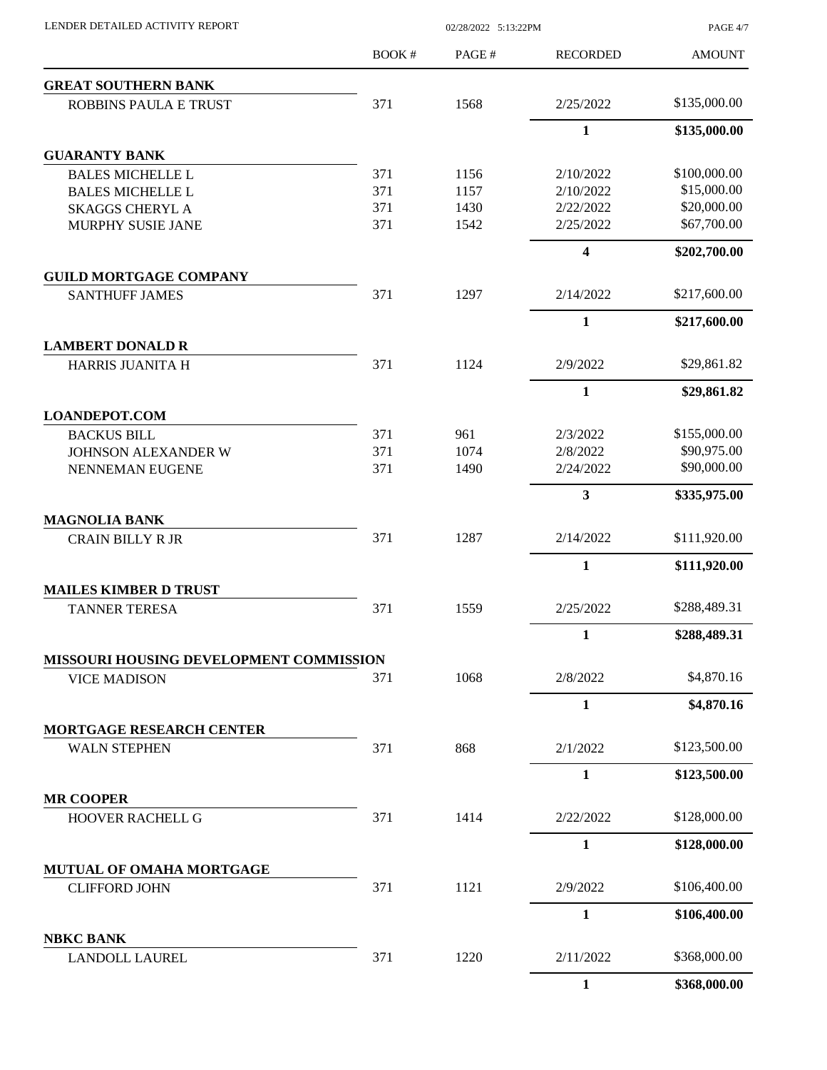| LENDER DETAILED ACTIVITY REPORT                        |       | 02/28/2022 5:13:22PM |                 |               |
|--------------------------------------------------------|-------|----------------------|-----------------|---------------|
|                                                        | BOOK# | PAGE#                | <b>RECORDED</b> | <b>AMOUNT</b> |
| <b>GREAT SOUTHERN BANK</b>                             |       |                      |                 |               |
| ROBBINS PAULA E TRUST                                  | 371   | 1568                 | 2/25/2022       | \$135,000.00  |
|                                                        |       |                      | $\mathbf{1}$    | \$135,000.00  |
| <b>GUARANTY BANK</b>                                   |       |                      |                 |               |
| <b>BALES MICHELLE L</b>                                | 371   | 1156                 | 2/10/2022       | \$100,000.00  |
| <b>BALES MICHELLE L</b>                                | 371   | 1157                 | 2/10/2022       | \$15,000.00   |
| <b>SKAGGS CHERYL A</b>                                 | 371   | 1430                 | 2/22/2022       | \$20,000.00   |
| MURPHY SUSIE JANE                                      | 371   | 1542                 | 2/25/2022       | \$67,700.00   |
|                                                        |       |                      | 4               | \$202,700.00  |
| <b>GUILD MORTGAGE COMPANY</b>                          |       |                      |                 |               |
| <b>SANTHUFF JAMES</b>                                  | 371   | 1297                 | 2/14/2022       | \$217,600.00  |
|                                                        |       |                      | 1               | \$217,600.00  |
| <b>LAMBERT DONALD R</b><br>HARRIS JUANITA H            | 371   | 1124                 | 2/9/2022        | \$29,861.82   |
|                                                        |       |                      | $\mathbf{1}$    |               |
| <b>LOANDEPOT.COM</b>                                   |       |                      |                 | \$29,861.82   |
| <b>BACKUS BILL</b>                                     | 371   | 961                  | 2/3/2022        | \$155,000.00  |
| JOHNSON ALEXANDER W                                    | 371   | 1074                 | 2/8/2022        | \$90,975.00   |
| NENNEMAN EUGENE                                        | 371   | 1490                 | 2/24/2022       | \$90,000.00   |
|                                                        |       |                      | 3               | \$335,975.00  |
| <b>MAGNOLIA BANK</b>                                   |       |                      |                 |               |
| <b>CRAIN BILLY R JR</b>                                | 371   | 1287                 | 2/14/2022       | \$111,920.00  |
|                                                        |       |                      | $\mathbf{1}$    | \$111,920.00  |
| <b>MAILES KIMBER D TRUST</b>                           |       |                      |                 |               |
| <b>TANNER TERESA</b>                                   | 371   | 1559                 | 2/25/2022       | \$288,489.31  |
|                                                        |       |                      | 1               | \$288,489.31  |
| MISSOURI HOUSING DEVELOPMENT COMMISSION                |       |                      |                 |               |
| <b>VICE MADISON</b>                                    | 371   | 1068                 | 2/8/2022        | \$4,870.16    |
|                                                        |       |                      | $\mathbf{1}$    | \$4,870.16    |
| <b>MORTGAGE RESEARCH CENTER</b><br><b>WALN STEPHEN</b> | 371   | 868                  | 2/1/2022        | \$123,500.00  |
|                                                        |       |                      |                 |               |
|                                                        |       |                      | 1               | \$123,500.00  |
| <b>MR COOPER</b><br>HOOVER RACHELL G                   | 371   | 1414                 | 2/22/2022       | \$128,000.00  |
|                                                        |       |                      | $\mathbf{1}$    | \$128,000.00  |
| MUTUAL OF OMAHA MORTGAGE                               |       |                      |                 |               |
| <b>CLIFFORD JOHN</b>                                   | 371   | 1121                 | 2/9/2022        | \$106,400.00  |
|                                                        |       |                      | $\mathbf{1}$    | \$106,400.00  |
| <b>NBKC BANK</b>                                       |       |                      |                 |               |
| <b>LANDOLL LAUREL</b>                                  | 371   | 1220                 | 2/11/2022       | \$368,000.00  |
|                                                        |       |                      | $\mathbf{1}$    | \$368,000.00  |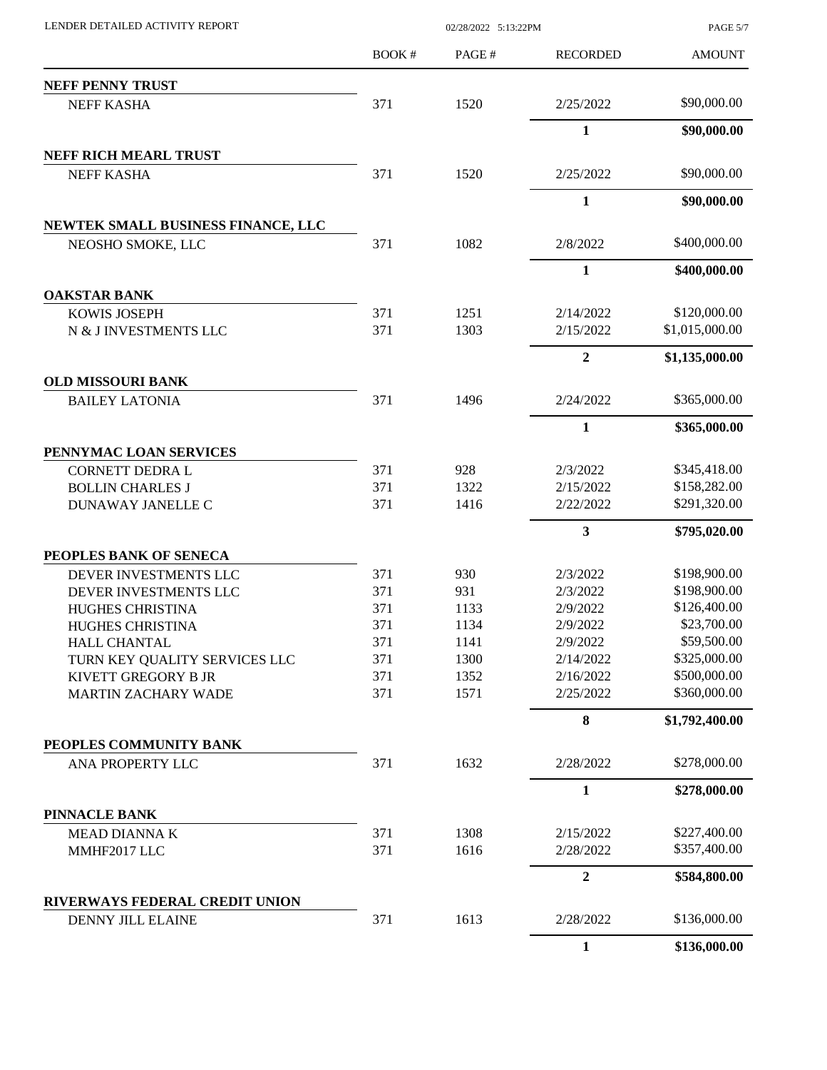| LENDER DETAILED ACTIVITY REPORT                            | 02/28/2022 5:13:22PM |              |                        | PAGE 5/7                     |
|------------------------------------------------------------|----------------------|--------------|------------------------|------------------------------|
|                                                            | <b>BOOK#</b>         | PAGE#        | <b>RECORDED</b>        | <b>AMOUNT</b>                |
| <b>NEFF PENNY TRUST</b>                                    |                      |              |                        |                              |
| NEFF KASHA                                                 | 371                  | 1520         | 2/25/2022              | \$90,000.00                  |
|                                                            |                      |              | $\mathbf{1}$           | \$90,000.00                  |
| <b>NEFF RICH MEARL TRUST</b>                               |                      |              |                        |                              |
| <b>NEFF KASHA</b>                                          | 371                  | 1520         | 2/25/2022              | \$90,000.00                  |
|                                                            |                      |              | 1                      | \$90,000.00                  |
| NEWTEK SMALL BUSINESS FINANCE, LLC                         |                      |              |                        |                              |
| NEOSHO SMOKE, LLC                                          | 371                  | 1082         | 2/8/2022               | \$400,000.00                 |
|                                                            |                      |              | 1                      | \$400,000.00                 |
| <b>OAKSTAR BANK</b>                                        |                      |              |                        |                              |
| <b>KOWIS JOSEPH</b>                                        | 371                  | 1251         | 2/14/2022              | \$120,000.00                 |
| N & J INVESTMENTS LLC                                      | 371                  | 1303         | 2/15/2022              | \$1,015,000.00               |
|                                                            |                      |              | $\overline{2}$         | \$1,135,000.00               |
| <b>OLD MISSOURI BANK</b>                                   |                      |              |                        |                              |
| <b>BAILEY LATONIA</b>                                      | 371                  | 1496         | 2/24/2022              | \$365,000.00                 |
|                                                            |                      |              | 1                      | \$365,000.00                 |
| PENNYMAC LOAN SERVICES                                     |                      |              |                        |                              |
| <b>CORNETT DEDRA L</b>                                     | 371                  | 928          | 2/3/2022               | \$345,418.00<br>\$158,282.00 |
| <b>BOLLIN CHARLES J</b><br>DUNAWAY JANELLE C               | 371<br>371           | 1322<br>1416 | 2/15/2022<br>2/22/2022 | \$291,320.00                 |
|                                                            |                      |              | 3                      | \$795,020.00                 |
| PEOPLES BANK OF SENECA                                     |                      |              |                        |                              |
| DEVER INVESTMENTS LLC                                      | 371                  | 930          | 2/3/2022               | \$198,900.00                 |
| DEVER INVESTMENTS LLC                                      | 371                  | 931          | 2/3/2022               | \$198,900.00                 |
| HUGHES CHRISTINA                                           | 371                  | 1133         | 2/9/2022               | \$126,400.00                 |
| HUGHES CHRISTINA                                           | 371                  | 1134         | 2/9/2022               | \$23,700.00                  |
| <b>HALL CHANTAL</b>                                        | 371                  | 1141         | 2/9/2022               | \$59,500.00                  |
| TURN KEY QUALITY SERVICES LLC                              | 371                  | 1300         | 2/14/2022              | \$325,000.00                 |
| KIVETT GREGORY B JR                                        | 371                  | 1352         | 2/16/2022              | \$500,000.00                 |
| <b>MARTIN ZACHARY WADE</b>                                 | 371                  | 1571         | 2/25/2022              | \$360,000.00                 |
|                                                            |                      |              | 8                      | \$1,792,400.00               |
| PEOPLES COMMUNITY BANK                                     |                      |              |                        |                              |
| ANA PROPERTY LLC                                           | 371                  | 1632         | 2/28/2022              | \$278,000.00                 |
|                                                            |                      |              | 1                      | \$278,000.00                 |
| PINNACLE BANK                                              |                      |              |                        |                              |
| MEAD DIANNA K                                              | 371<br>371           | 1308<br>1616 | 2/15/2022<br>2/28/2022 | \$227,400.00<br>\$357,400.00 |
| MMHF2017 LLC                                               |                      |              |                        |                              |
|                                                            |                      |              | $\mathbf{2}$           | \$584,800.00                 |
| RIVERWAYS FEDERAL CREDIT UNION<br><b>DENNY JILL ELAINE</b> | 371                  | 1613         | 2/28/2022              | \$136,000.00                 |
|                                                            |                      |              | $\mathbf{1}$           | \$136,000.00                 |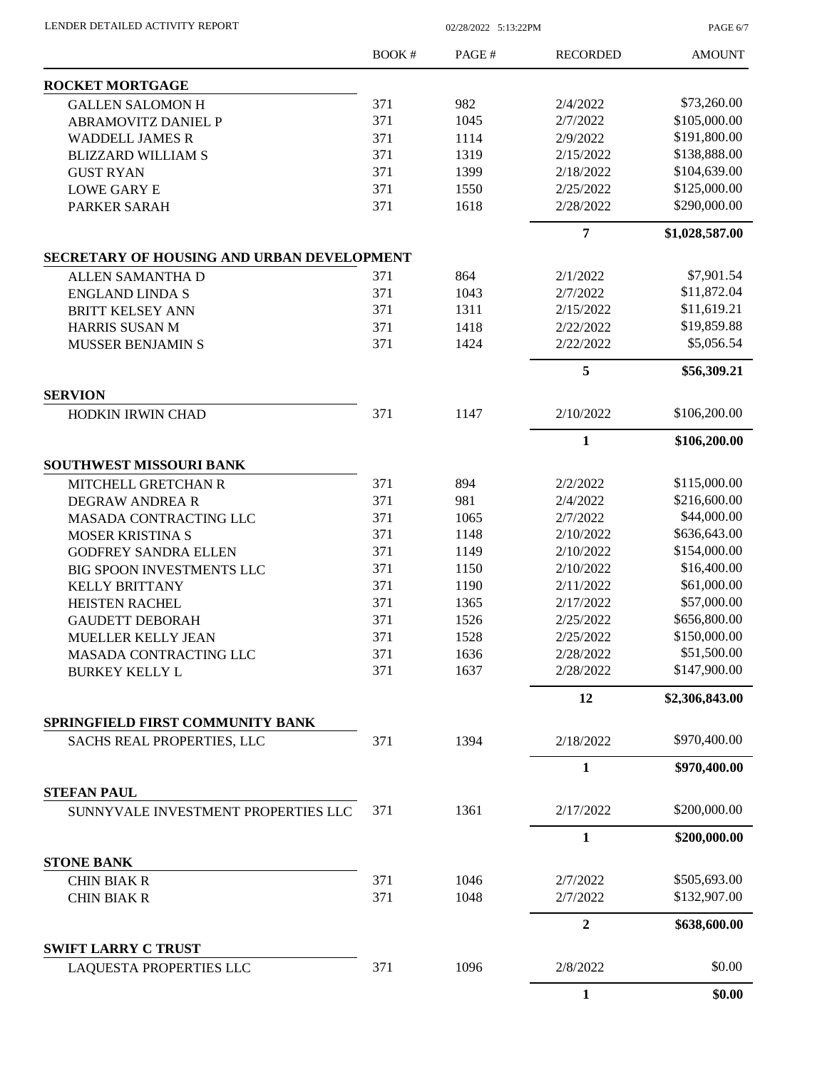LENDER DETAILED ACTIVITY REPORT 02/28/2022 5:13:22PM

PAGE 6/7

|                                                                | <b>BOOK#</b> | PAGE# | <b>RECORDED</b> | <b>AMOUNT</b>  |
|----------------------------------------------------------------|--------------|-------|-----------------|----------------|
| <b>ROCKET MORTGAGE</b>                                         |              |       |                 |                |
| <b>GALLEN SALOMON H</b>                                        | 371          | 982   | 2/4/2022        | \$73,260.00    |
| <b>ABRAMOVITZ DANIEL P</b>                                     | 371          | 1045  | 2/7/2022        | \$105,000.00   |
| <b>WADDELL JAMES R</b>                                         | 371          | 1114  | 2/9/2022        | \$191,800.00   |
| <b>BLIZZARD WILLIAM S</b>                                      | 371          | 1319  | 2/15/2022       | \$138,888.00   |
| <b>GUST RYAN</b>                                               | 371          | 1399  | 2/18/2022       | \$104,639.00   |
| <b>LOWE GARY E</b>                                             | 371          | 1550  | 2/25/2022       | \$125,000.00   |
| PARKER SARAH                                                   | 371          | 1618  | 2/28/2022       | \$290,000.00   |
|                                                                |              |       | 7               | \$1,028,587.00 |
| SECRETARY OF HOUSING AND URBAN DEVELOPMENT                     |              |       |                 |                |
| ALLEN SAMANTHA D                                               | 371          | 864   | 2/1/2022        | \$7,901.54     |
| <b>ENGLAND LINDA S</b>                                         | 371          | 1043  | 2/7/2022        | \$11,872.04    |
| BRITT KELSEY ANN                                               | 371          | 1311  | 2/15/2022       | \$11,619.21    |
| HARRIS SUSAN M                                                 | 371          | 1418  | 2/22/2022       | \$19,859.88    |
| <b>MUSSER BENJAMIN S</b>                                       | 371          | 1424  | 2/22/2022       | \$5,056.54     |
|                                                                |              |       | 5               | \$56,309.21    |
| <b>SERVION</b><br>HODKIN IRWIN CHAD                            | 371          | 1147  | 2/10/2022       | \$106,200.00   |
|                                                                |              |       | $\mathbf{1}$    | \$106,200.00   |
| <b>SOUTHWEST MISSOURI BANK</b>                                 |              |       |                 |                |
| <b>MITCHELL GRETCHAN R</b>                                     | 371          | 894   | 2/2/2022        | \$115,000.00   |
| <b>DEGRAW ANDREA R</b>                                         | 371          | 981   | 2/4/2022        | \$216,600.00   |
| MASADA CONTRACTING LLC                                         | 371          | 1065  | 2/7/2022        | \$44,000.00    |
| MOSER KRISTINA S                                               | 371          | 1148  | 2/10/2022       | \$636,643.00   |
| <b>GODFREY SANDRA ELLEN</b>                                    | 371          | 1149  | 2/10/2022       | \$154,000.00   |
| <b>BIG SPOON INVESTMENTS LLC</b>                               | 371          | 1150  | 2/10/2022       | \$16,400.00    |
| <b>KELLY BRITTANY</b>                                          | 371          | 1190  | 2/11/2022       | \$61,000.00    |
|                                                                | 371          |       | 2/17/2022       | \$57,000.00    |
| <b>HEISTEN RACHEL</b>                                          |              | 1365  |                 | \$656,800.00   |
| <b>GAUDETT DEBORAH</b>                                         | 371          | 1526  | 2/25/2022       |                |
| MUELLER KELLY JEAN                                             | 371          | 1528  | 2/25/2022       | \$150,000.00   |
| MASADA CONTRACTING LLC                                         | 371          | 1636  | 2/28/2022       | \$51,500.00    |
| <b>BURKEY KELLY L</b>                                          | 371          | 1637  | 2/28/2022       | \$147,900.00   |
|                                                                |              |       | 12              | \$2,306,843.00 |
| SPRINGFIELD FIRST COMMUNITY BANK<br>SACHS REAL PROPERTIES, LLC | 371          | 1394  | 2/18/2022       | \$970,400.00   |
|                                                                |              |       | 1               | \$970,400.00   |
| <b>STEFAN PAUL</b>                                             |              |       |                 |                |
| SUNNYVALE INVESTMENT PROPERTIES LLC                            | 371          | 1361  | 2/17/2022       | \$200,000.00   |
|                                                                |              |       | $\mathbf{1}$    | \$200,000.00   |
| <b>STONE BANK</b>                                              |              |       |                 |                |
| <b>CHIN BIAK R</b>                                             | 371          | 1046  | 2/7/2022        | \$505,693.00   |
| <b>CHIN BIAK R</b>                                             | 371          | 1048  | 2/7/2022        | \$132,907.00   |
|                                                                |              |       | $\overline{2}$  | \$638,600.00   |
| <b>SWIFT LARRY C TRUST</b>                                     |              | 1096  |                 | \$0.00         |
| LAQUESTA PROPERTIES LLC                                        | 371          |       | 2/8/2022        |                |
|                                                                |              |       | 1               | \$0.00         |